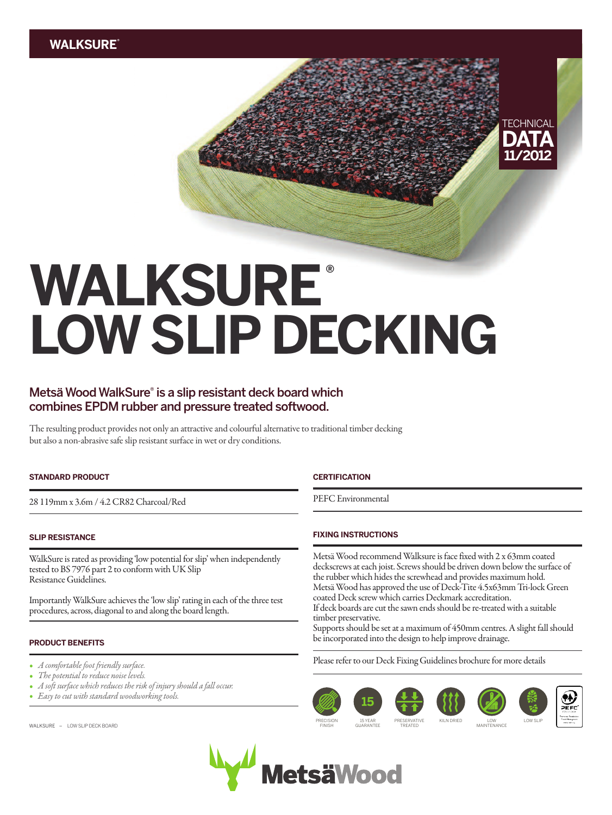## **TECHNICAL DATA 11/2012**

# **WALKSURE® LOWSLIP DECKING**

### **MetsäWoodWalkSure® is a slip resistant deck board which combines EPDM rubber and pressure treated softwood.**

The resulting product provides not only an attractive and colourful alternative to traditional timber decking but also a non-abrasive safe slip resistant surface in wet or dry conditions.

#### **STANDARD PRODUCT**

28 119mmx 3.6m/ 4.2 CR82 Charcoal/Red

#### **SLIP RESISTANCE**

WalkSure is rated as providing 'low potential for slip' when independently tested to BS 7976 part 2 to conform with UK Slip Resistance Guidelines.

Importantly WalkSure achieves the 'low slip' rating in each of the three test procedures, across, diagonal to and along the board length.

#### **PRODUCT BENEFITS**

- *A comfortable foot friendly surface.*
- The potential to reduce noise levels. *•*
- *•* A soft surface which reduces the risk of injury should a fall occur.
- *•*Easy to cut with standard woodworking tools.

WALKSURE - LOW SLIP DECK BOARD

#### **CERTIFICATION**

PEFC Environmental

#### **FIXING INSTRUCTIONS**

Metsä Wood recommend Walksure is face fixed with 2 x 63mm coated deckscrews at each joist. Screws should be driven down below the surface of the rubber which hides the screwhead and provides maximum hold. Metsä Wood has approved the use of Deck-Tite 4.5x63mm Tri-lock Green coated Deck screw which carries Deckmark accreditation. If deck boards are cut the sawn ends should be re-treated with a suitable timber preservative.

Supports should be set at a maximum of 450mm centres. A slight fall should be incorporated into the design to help improve drainage.

Please refer to our Deck Fixing Guidelines brochure for more details



MAINTENANCE